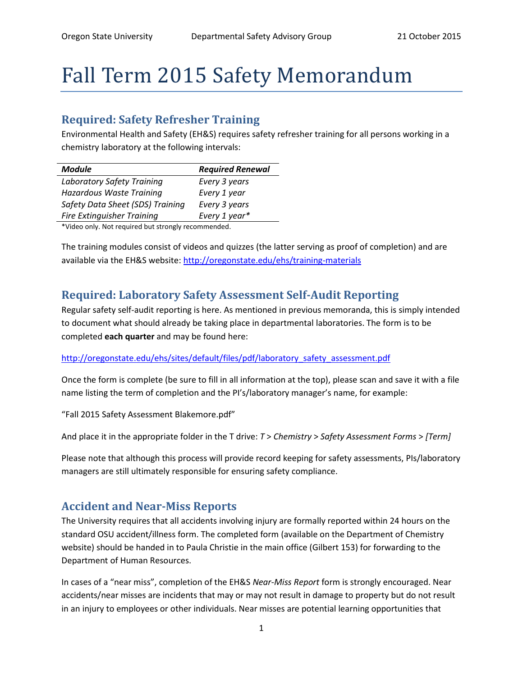# Fall Term 2015 Safety Memorandum

### **Required: Safety Refresher Training**

Environmental Health and Safety (EH&S) requires safety refresher training for all persons working in a chemistry laboratory at the following intervals:

| <b>Module</b>                     | <b>Required Renewal</b> |
|-----------------------------------|-------------------------|
| Laboratory Safety Training        | Every 3 years           |
| Hazardous Waste Training          | Every 1 year            |
| Safety Data Sheet (SDS) Training  | Every 3 years           |
| <b>Fire Extinguisher Training</b> | Every 1 year*           |
|                                   |                         |

\*Video only. Not required but strongly recommended.

The training modules consist of videos and quizzes (the latter serving as proof of completion) and are available via the EH&S website: <http://oregonstate.edu/ehs/training-materials>

## **Required: Laboratory Safety Assessment Self-Audit Reporting**

Regular safety self-audit reporting is here. As mentioned in previous memoranda, this is simply intended to document what should already be taking place in departmental laboratories. The form is to be completed **each quarter** and may be found here:

#### [http://oregonstate.edu/ehs/sites/default/files/pdf/laboratory\\_safety\\_assessment.pdf](http://oregonstate.edu/ehs/sites/default/files/pdf/laboratory_safety_assessment.pdf)

Once the form is complete (be sure to fill in all information at the top), please scan and save it with a file name listing the term of completion and the PI's/laboratory manager's name, for example:

"Fall 2015 Safety Assessment Blakemore.pdf"

And place it in the appropriate folder in the T drive: *T* > *Chemistry* > *Safety Assessment Forms* > *[Term]*

Please note that although this process will provide record keeping for safety assessments, PIs/laboratory managers are still ultimately responsible for ensuring safety compliance.

#### **Accident and Near-Miss Reports**

The University requires that all accidents involving injury are formally reported within 24 hours on the standard OSU accident/illness form. The completed form (available on the Department of Chemistry website) should be handed in to Paula Christie in the main office (Gilbert 153) for forwarding to the Department of Human Resources.

In cases of a "near miss", completion of the EH&S *Near-Miss Report* form is strongly encouraged. Near accidents/near misses are incidents that may or may not result in damage to property but do not result in an injury to employees or other individuals. Near misses are potential learning opportunities that